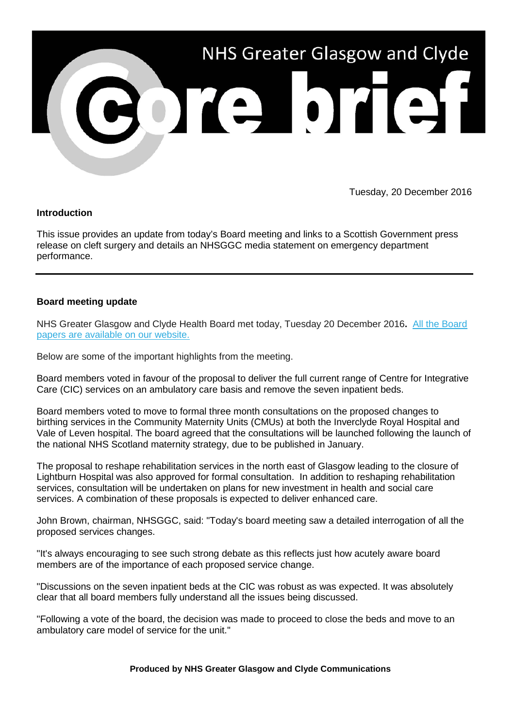

Tuesday, 20 December 2016

## **Introduction**

This issue provides an update from today's Board meeting and links to a Scottish Government press release on cleft surgery and details an NHSGGC media statement on emergency department performance.

## **Board meeting update**

NHS Greater Glasgow and Clyde Health Board met today, Tuesday 20 December 2016**.** [All the Board](http://nhsggc.us12.list-manage.com/track/click?u=0f385b5aea37eaf0213bd19fb&id=1a7115f99c&e=5af5e1832c)  [papers are available on our website.](http://nhsggc.us12.list-manage.com/track/click?u=0f385b5aea37eaf0213bd19fb&id=1a7115f99c&e=5af5e1832c)

Below are some of the important highlights from the meeting.

Board members voted in favour of the proposal to deliver the full current range of Centre for Integrative Care (CIC) services on an ambulatory care basis and remove the seven inpatient beds.

Board members voted to move to formal three month consultations on the proposed changes to birthing services in the Community Maternity Units (CMUs) at both the Inverclyde Royal Hospital and Vale of Leven hospital. The board agreed that the consultations will be launched following the launch of the national NHS Scotland maternity strategy, due to be published in January.

The proposal to reshape rehabilitation services in the north east of Glasgow leading to the closure of Lightburn Hospital was also approved for formal consultation. In addition to reshaping rehabilitation services, consultation will be undertaken on plans for new investment in health and social care services. A combination of these proposals is expected to deliver enhanced care.

John Brown, chairman, NHSGGC, said: "Today's board meeting saw a detailed interrogation of all the proposed services changes.

"It's always encouraging to see such strong debate as this reflects just how acutely aware board members are of the importance of each proposed service change.

"Discussions on the seven inpatient beds at the CIC was robust as was expected. It was absolutely clear that all board members fully understand all the issues being discussed.

"Following a vote of the board, the decision was made to proceed to close the beds and move to an ambulatory care model of service for the unit."

**Produced by NHS Greater Glasgow and Clyde Communications**